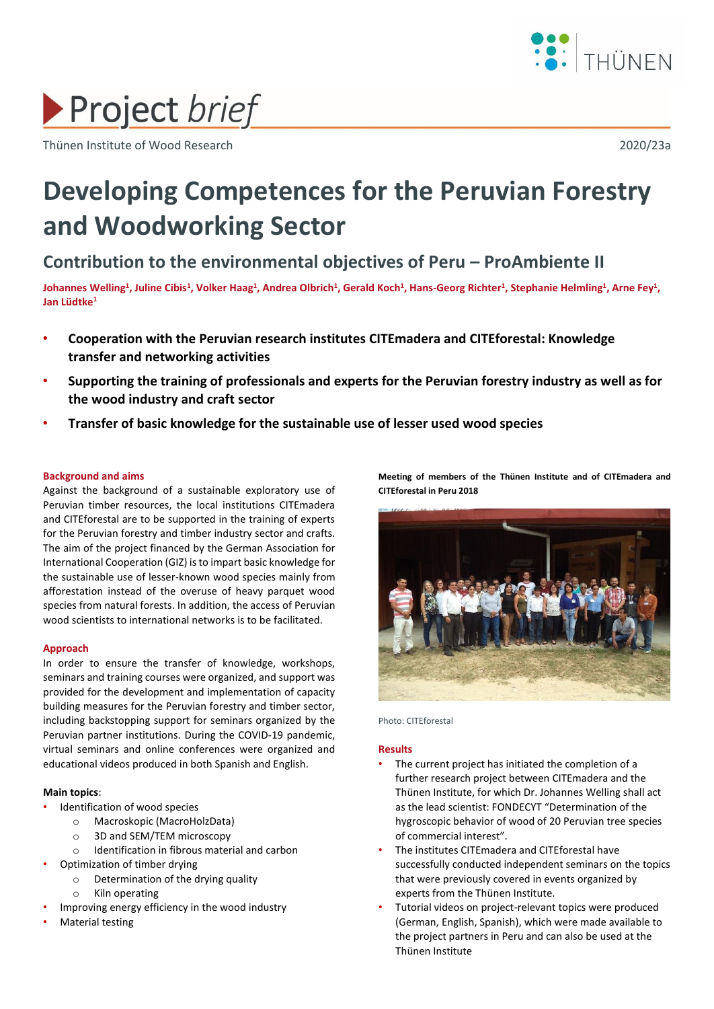

# Project brief

Thünen Institute of Wood Research 2020/23a

# **Developing Competences for the Peruvian Forestry and Woodworking Sector**

**Contribution to the environmental objectives of Peru – ProAmbiente II**

Johannes Welling<sup>1</sup>, Juline Cibis<sup>1</sup>, Volker Haag<sup>1</sup>, Andrea Olbrich<sup>1</sup>, Gerald Koch<sup>1</sup>, Hans-Georg Richter<sup>1</sup>, Stephanie Helmling<sup>1</sup>, Arne Fey<sup>1</sup>, **Jan Lüdtke<sup>1</sup>**

- **Cooperation with the Peruvian research institutes CITEmadera and CITEforestal: Knowledge transfer and networking activities**
- **Supporting the training of professionals and experts for the Peruvian forestry industry as well as for the wood industry and craft sector**
- **Transfer of basic knowledge for the sustainable use of lesser used wood species**

# **Background and aims**

Against the background of a sustainable exploratory use of Peruvian timber resources, the local institutions CITEmadera and CITEforestal are to be supported in the training of experts for the Peruvian forestry and timber industry sector and crafts. The aim of the project financed by the German Association for International Cooperation (GIZ) is to impart basic knowledge for the sustainable use of lesser-known wood species mainly from afforestation instead of the overuse of heavy parquet wood species from natural forests. In addition, the access of Peruvian wood scientists to international networks is to be facilitated.

## **Approach**

In order to ensure the transfer of knowledge, workshops, seminars and training courses were organized, and support was provided for the development and implementation of capacity building measures for the Peruvian forestry and timber sector, including backstopping support for seminars organized by the Peruvian partner institutions. During the COVID-19 pandemic, virtual seminars and online conferences were organized and educational videos produced in both Spanish and English.

# **Main topics**:

- Identification of wood species
	- o Macroskopic (MacroHolzData)
	- o 3D and SEM/TEM microscopy
	- o Identification in fibrous material and carbon
- Optimization of timber drying
	- o Determination of the drying quality
		- o Kiln operating
- Improving energy efficiency in the wood industry
- Material testing

**Meeting of members of the Thünen Institute and of CITEmadera and CITEforestal in Peru 2018** 



Photo: CITEforestal

## **Results**

- The current project has initiated the completion of a further research project between CITEmadera and the Thünen Institute, for which Dr. Johannes Welling shall act as the lead scientist: FONDECYT "Determination of the hygroscopic behavior of wood of 20 Peruvian tree species of commercial interest".
- The institutes CITEmadera and CITEforestal have successfully conducted independent seminars on the topics that were previously covered in events organized by experts from the Thünen Institute.
- Tutorial videos on project-relevant topics were produced (German, English, Spanish), which were made available to the project partners in Peru and can also be used at the Thünen Institute